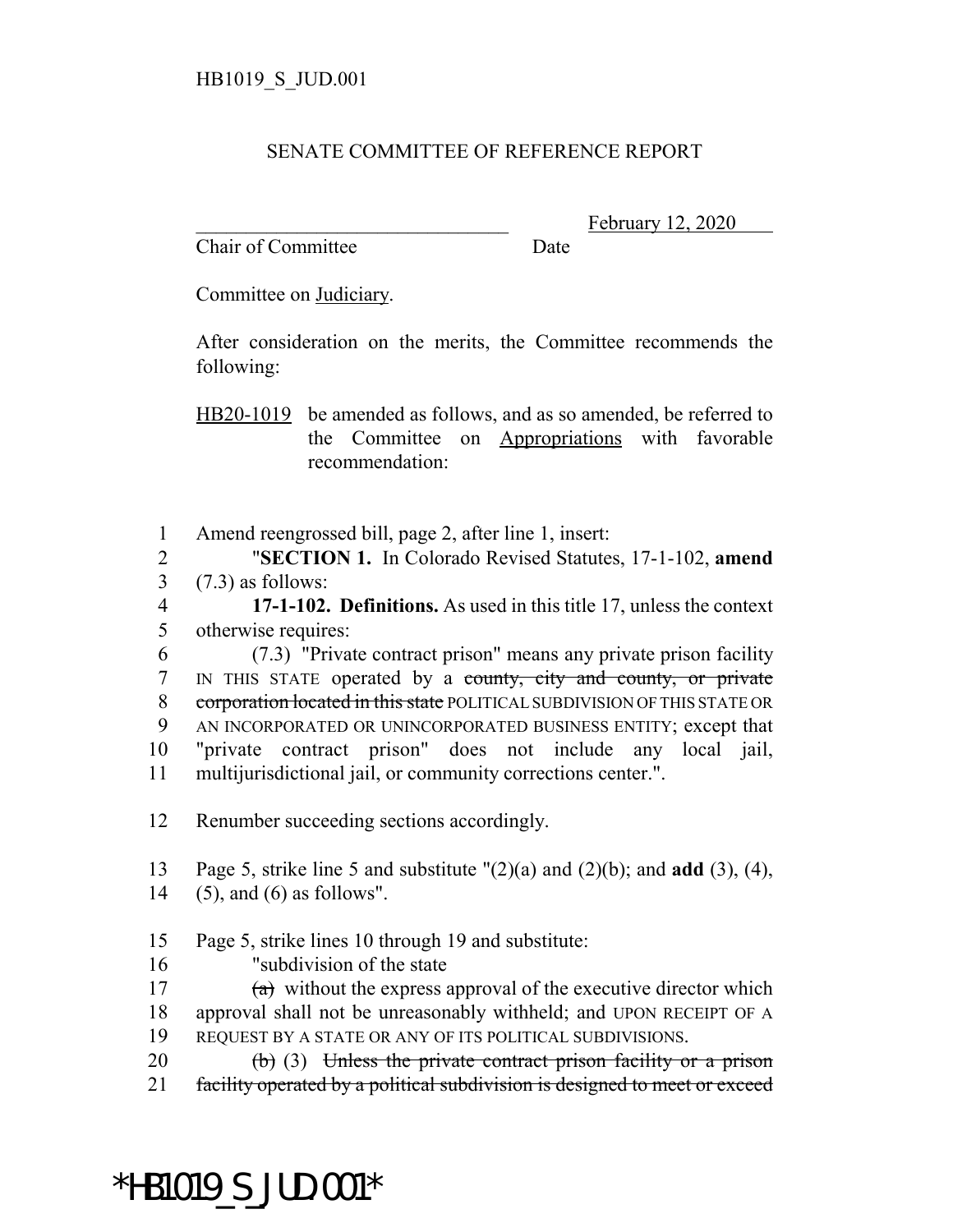## SENATE COMMITTEE OF REFERENCE REPORT

Chair of Committee Date

February 12, 2020

Committee on Judiciary.

After consideration on the merits, the Committee recommends the following:

HB20-1019 be amended as follows, and as so amended, be referred to the Committee on Appropriations with favorable recommendation:

1 Amend reengrossed bill, page 2, after line 1, insert:

2 "**SECTION 1.** In Colorado Revised Statutes, 17-1-102, **amend** 3 (7.3) as follows:

4 **17-1-102. Definitions.** As used in this title 17, unless the context 5 otherwise requires:

 (7.3) "Private contract prison" means any private prison facility 7 IN THIS STATE operated by a county, city and county, or private 8 corporation located in this state POLITICAL SUBDIVISION OF THIS STATE OR AN INCORPORATED OR UNINCORPORATED BUSINESS ENTITY; except that "private contract prison" does not include any local jail, multijurisdictional jail, or community corrections center.".

12 Renumber succeeding sections accordingly.

13 Page 5, strike line 5 and substitute "(2)(a) and (2)(b); and **add** (3), (4), 14 (5), and (6) as follows".

15 Page 5, strike lines 10 through 19 and substitute:

16 "subdivision of the state

17  $(a)$  without the express approval of the executive director which 18 approval shall not be unreasonably withheld; and UPON RECEIPT OF A 19 REQUEST BY A STATE OR ANY OF ITS POLITICAL SUBDIVISIONS.

20  $\left(b\right)$  (3) Unless the private contract prison facility or a prison 21 facility operated by a political subdivision is designed to meet or exceed

## \*HB1019\_S\_JUD.001\*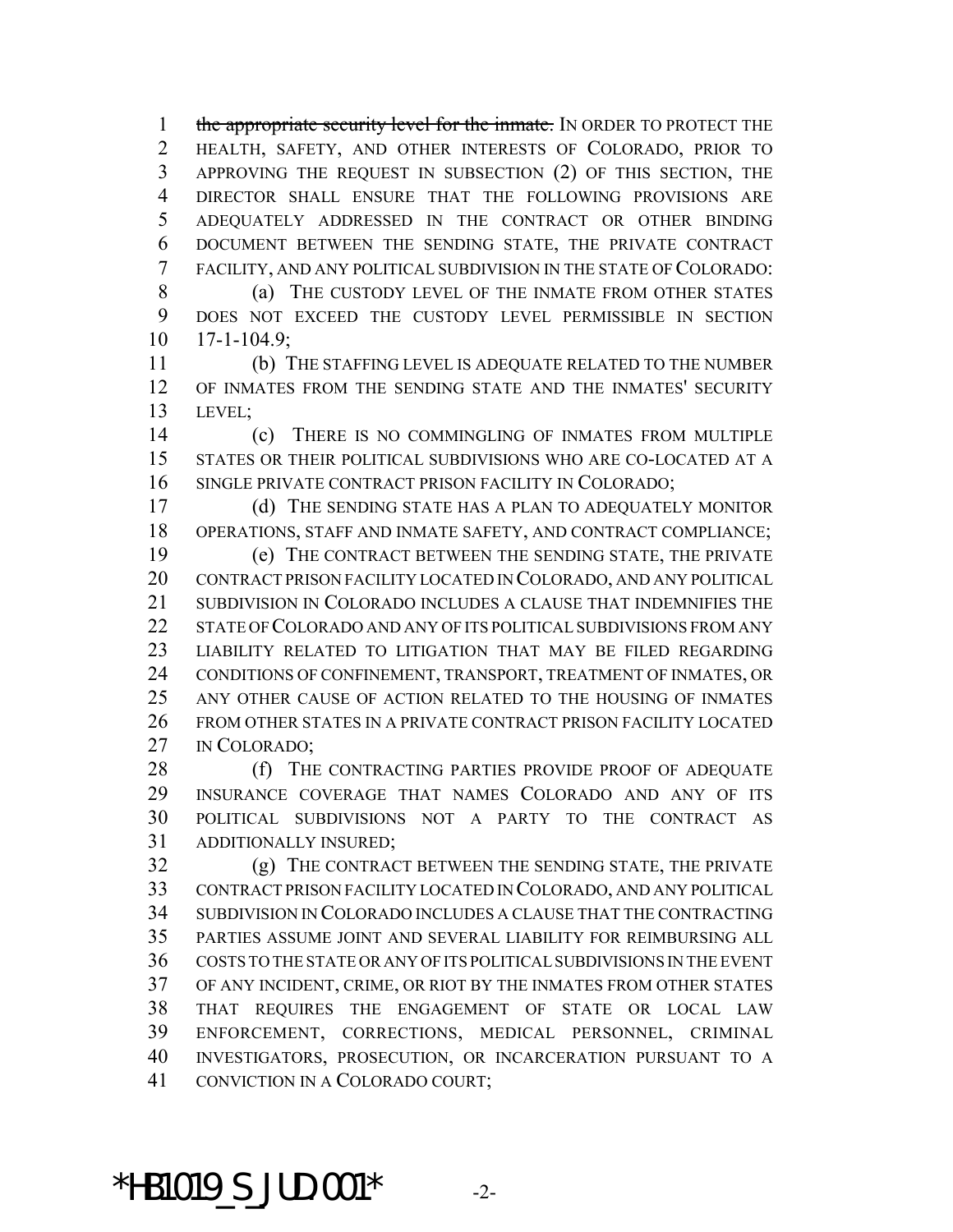1 the appropriate security level for the inmate. IN ORDER TO PROTECT THE HEALTH, SAFETY, AND OTHER INTERESTS OF COLORADO, PRIOR TO APPROVING THE REQUEST IN SUBSECTION (2) OF THIS SECTION, THE DIRECTOR SHALL ENSURE THAT THE FOLLOWING PROVISIONS ARE ADEQUATELY ADDRESSED IN THE CONTRACT OR OTHER BINDING DOCUMENT BETWEEN THE SENDING STATE, THE PRIVATE CONTRACT FACILITY, AND ANY POLITICAL SUBDIVISION IN THE STATE OF COLORADO: 8 (a) THE CUSTODY LEVEL OF THE INMATE FROM OTHER STATES

 DOES NOT EXCEED THE CUSTODY LEVEL PERMISSIBLE IN SECTION 17-1-104.9;

 (b) THE STAFFING LEVEL IS ADEQUATE RELATED TO THE NUMBER OF INMATES FROM THE SENDING STATE AND THE INMATES' SECURITY LEVEL;

 (c) THERE IS NO COMMINGLING OF INMATES FROM MULTIPLE STATES OR THEIR POLITICAL SUBDIVISIONS WHO ARE CO-LOCATED AT A SINGLE PRIVATE CONTRACT PRISON FACILITY IN COLORADO;

 (d) THE SENDING STATE HAS A PLAN TO ADEQUATELY MONITOR OPERATIONS, STAFF AND INMATE SAFETY, AND CONTRACT COMPLIANCE;

 (e) THE CONTRACT BETWEEN THE SENDING STATE, THE PRIVATE CONTRACT PRISON FACILITY LOCATED IN COLORADO, AND ANY POLITICAL SUBDIVISION IN COLORADO INCLUDES A CLAUSE THAT INDEMNIFIES THE STATE OF COLORADO AND ANY OF ITS POLITICAL SUBDIVISIONS FROM ANY LIABILITY RELATED TO LITIGATION THAT MAY BE FILED REGARDING CONDITIONS OF CONFINEMENT, TRANSPORT, TREATMENT OF INMATES, OR ANY OTHER CAUSE OF ACTION RELATED TO THE HOUSING OF INMATES FROM OTHER STATES IN A PRIVATE CONTRACT PRISON FACILITY LOCATED IN COLORADO;

28 (f) THE CONTRACTING PARTIES PROVIDE PROOF OF ADEQUATE INSURANCE COVERAGE THAT NAMES COLORADO AND ANY OF ITS POLITICAL SUBDIVISIONS NOT A PARTY TO THE CONTRACT AS ADDITIONALLY INSURED;

 (g) THE CONTRACT BETWEEN THE SENDING STATE, THE PRIVATE CONTRACT PRISON FACILITY LOCATED IN COLORADO, AND ANY POLITICAL SUBDIVISION IN COLORADO INCLUDES A CLAUSE THAT THE CONTRACTING PARTIES ASSUME JOINT AND SEVERAL LIABILITY FOR REIMBURSING ALL COSTS TO THE STATE OR ANY OF ITS POLITICAL SUBDIVISIONS IN THE EVENT OF ANY INCIDENT, CRIME, OR RIOT BY THE INMATES FROM OTHER STATES THAT REQUIRES THE ENGAGEMENT OF STATE OR LOCAL LAW ENFORCEMENT, CORRECTIONS, MEDICAL PERSONNEL, CRIMINAL INVESTIGATORS, PROSECUTION, OR INCARCERATION PURSUANT TO A CONVICTION IN A COLORADO COURT;

\*HB1019 S JUD.001\*  $-2$ -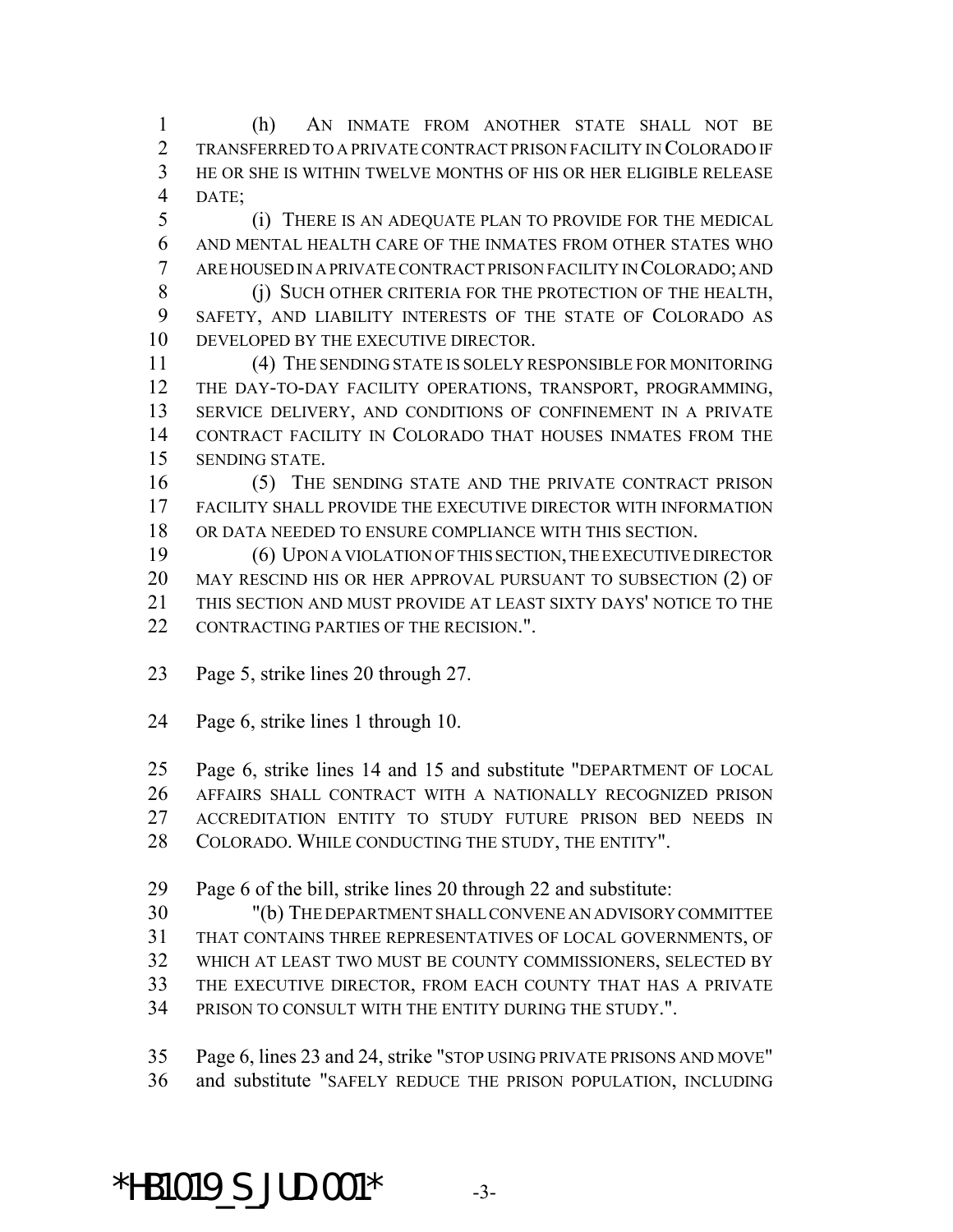(h) AN INMATE FROM ANOTHER STATE SHALL NOT BE TRANSFERRED TO A PRIVATE CONTRACT PRISON FACILITY IN COLORADO IF HE OR SHE IS WITHIN TWELVE MONTHS OF HIS OR HER ELIGIBLE RELEASE DATE;

 (i) THERE IS AN ADEQUATE PLAN TO PROVIDE FOR THE MEDICAL AND MENTAL HEALTH CARE OF THE INMATES FROM OTHER STATES WHO ARE HOUSED IN A PRIVATE CONTRACT PRISON FACILITY IN COLORADO; AND

8 (j) SUCH OTHER CRITERIA FOR THE PROTECTION OF THE HEALTH, SAFETY, AND LIABILITY INTERESTS OF THE STATE OF COLORADO AS DEVELOPED BY THE EXECUTIVE DIRECTOR.

 (4) THE SENDING STATE IS SOLELY RESPONSIBLE FOR MONITORING THE DAY-TO-DAY FACILITY OPERATIONS, TRANSPORT, PROGRAMMING, SERVICE DELIVERY, AND CONDITIONS OF CONFINEMENT IN A PRIVATE CONTRACT FACILITY IN COLORADO THAT HOUSES INMATES FROM THE SENDING STATE.

 (5) THE SENDING STATE AND THE PRIVATE CONTRACT PRISON FACILITY SHALL PROVIDE THE EXECUTIVE DIRECTOR WITH INFORMATION OR DATA NEEDED TO ENSURE COMPLIANCE WITH THIS SECTION.

 (6) UPON A VIOLATION OF THIS SECTION, THE EXECUTIVE DIRECTOR MAY RESCIND HIS OR HER APPROVAL PURSUANT TO SUBSECTION (2) OF THIS SECTION AND MUST PROVIDE AT LEAST SIXTY DAYS' NOTICE TO THE CONTRACTING PARTIES OF THE RECISION.".

Page 5, strike lines 20 through 27.

Page 6, strike lines 1 through 10.

Page 6, strike lines 14 and 15 and substitute "DEPARTMENT OF LOCAL

AFFAIRS SHALL CONTRACT WITH A NATIONALLY RECOGNIZED PRISON

ACCREDITATION ENTITY TO STUDY FUTURE PRISON BED NEEDS IN

COLORADO. WHILE CONDUCTING THE STUDY, THE ENTITY".

Page 6 of the bill, strike lines 20 through 22 and substitute:

"(b) THE DEPARTMENT SHALL CONVENE AN ADVISORY COMMITTEE

THAT CONTAINS THREE REPRESENTATIVES OF LOCAL GOVERNMENTS, OF

WHICH AT LEAST TWO MUST BE COUNTY COMMISSIONERS, SELECTED BY

THE EXECUTIVE DIRECTOR, FROM EACH COUNTY THAT HAS A PRIVATE

PRISON TO CONSULT WITH THE ENTITY DURING THE STUDY.".

Page 6, lines 23 and 24, strike "STOP USING PRIVATE PRISONS AND MOVE"

and substitute "SAFELY REDUCE THE PRISON POPULATION, INCLUDING

\*HB1019 S JUD.001\*  $-3$ -